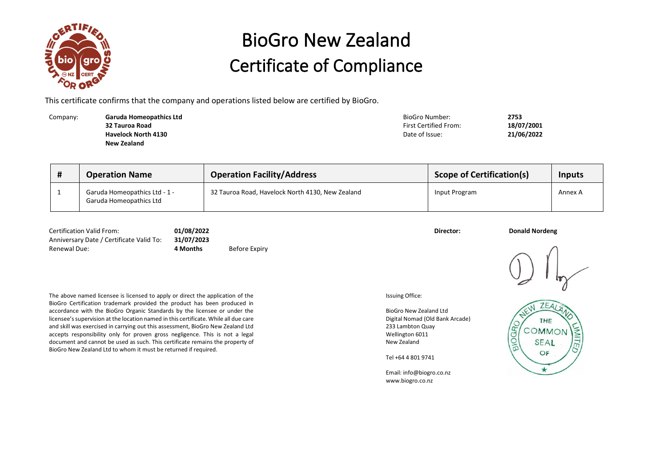

## BioGro New Zealand Certificate of Compliance

This certificate confirms that the company and operations listed below are certified by BioGro.

Company: **Garuda Homeopathics Ltd** BioGro Number: **2753 32 Tauroa Road Havelock North 4130 New Zealand**

First Certified From: **18/07/2001** Date of Issue: **21/06/2022**

| <b>Operation Name</b>                                    | <b>Operation Facility/Address</b>                | <b>Scope of Certification(s)</b> | Inputs  |
|----------------------------------------------------------|--------------------------------------------------|----------------------------------|---------|
| Garuda Homeopathics Ltd - 1 -<br>Garuda Homeopathics Ltd | 32 Tauroa Road, Havelock North 4130, New Zealand | Input Program                    | Annex A |

Certification Valid From: **01/08/2022 Director: Donald Nordeng** Anniversary Date / Certificate Valid To: **31/07/2023**

**4 Months** Before Expiry

The above named licensee is licensed to apply or direct the application of the BioGro Certification trademark provided the product has been produced in accordance with the BioGro Organic Standards by the licensee or under the licensee's supervision at the location named in this certificate. While all due care and skill was exercised in carrying out this assessment, BioGro New Zealand Ltd accepts responsibility only for proven gross negligence. This is not a legal document and cannot be used as such. This certificate remains the property of BioGro New Zealand Ltd to whom it must be returned if required.

Issuing Office:

BioGro New Zealand Ltd Digital Nomad (Old Bank Arcade) 233 Lambton Quay Wellington 6011 New Zealand

Tel +64 4 801 9741

Email: info@biogro.co.nz www.biogro.co.nz